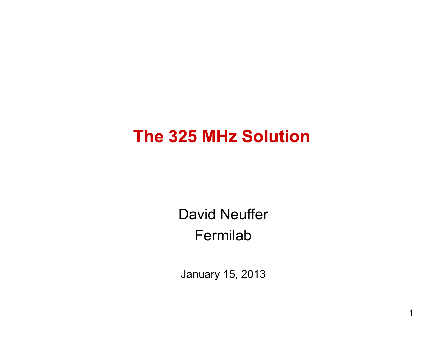### **The 325 MHz Solution**

David Neuffer Fermilab

January 15, 2013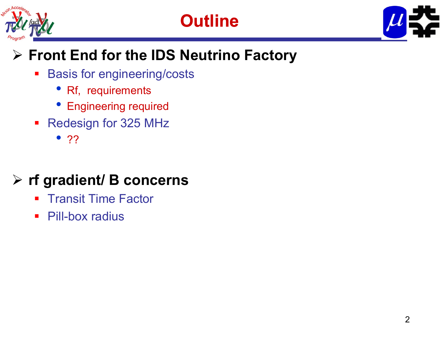





### **Front End for the IDS Neutrino Factory**

- Basis for engineering/costs
	- Rf, requirements
	- Engineering required
- **Redesign for 325 MHz** 
	- ??

### **rf gradient/ B concerns**

- $\blacksquare$ Transit Time Factor
- $\mathcal{L}_{\mathcal{A}}$ Pill-box radius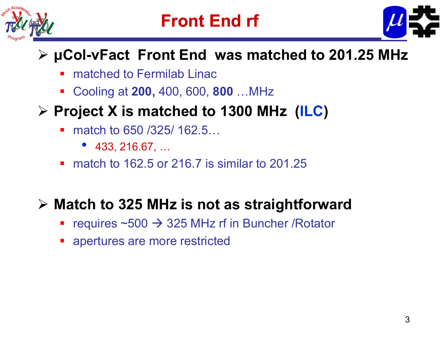



#### **μCol-νFact Front End was matched to 201.25 MHz**

- Ŧ matched to Fermilab Linac
- **Cooling at 200, 400, 600, 800 …MHz**

#### **Project X is matched to 1300 MHz (ILC)**

- $\mathcal{L}_{\mathcal{A}}$ match to 650 / 325 / 162.5...
	- 433, 216.67, …
- match to 162.5 or 216.7 is similar to 201.25

#### **Match to 325 MHz is not as straightforward**

- Ŧ requires  $~500 \rightarrow 325$  MHz rf in Buncher /Rotator
- **•** apertures are more restricted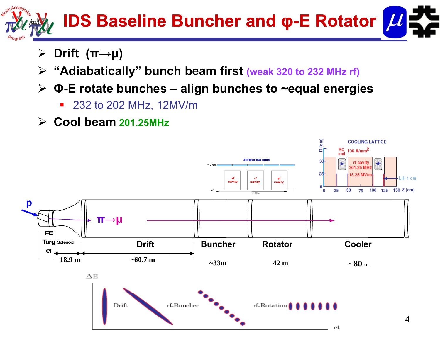

- $\sum_{i=1}^{n}$ **Drift (π→μ)**
- **"Adiabatically" bunch beam first (weak 320 to 232 MHz rf)**
- **Φ-E rotate bunches E bunches – align bunches to ~equal energies**
	- 232 to 202 MHz, 12MV/m
- **Cool beam 201.25MHz**

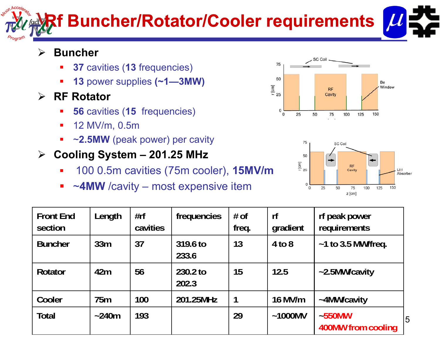# **Rf Buncher/Rotator/Cooler requirements**

#### $\blacktriangleright$ **Buncher**

- $\blacksquare$ **37** cavities (**13** frequencies)
- $\blacksquare$ **13** power supplies **(~1—3MW)**
- $\blacktriangleright$  **RF Rotator**
	- $\overline{\phantom{a}}$ **56** cavities (**15** frequencies)
	- $\blacksquare$ 12 MV/m, 0.5m
	- $\blacksquare$ ~**2.5MW** (peak power) per cavity
- **Cooling System – 201.25 MHz**
	- $\blacksquare$ 100 0 5m cavities (75m cooler) 0.5m cooler), **15MV/m**
	- $\blacksquare$ <sup>~</sup>**4MW** /cavity – most expensive item





| <b>Front End</b><br>section | Length      | #rf<br>cavities | frequencies       | $#$ of<br>freq. | rf<br>gradient | rf peak power<br>requirements         |
|-----------------------------|-------------|-----------------|-------------------|-----------------|----------------|---------------------------------------|
| <b>Buncher</b>              | 33m         | 37              | 319.6 to<br>233.6 | 13              | $4$ to $8$     | $~1$ to 3.5 MW/freq.                  |
| <b>Rotator</b>              | 42m         | 56              | 230.2 to<br>202.3 | 15              | 12.5           | ~2.5MW/cavity                         |
| Cooler                      | 75m         | 100             | 201.25MHz         | 1               | 16 MV/m        | ~4MW/cavity                           |
| <b>Total</b>                | $\sim$ 240m | 193             |                   | 29              | $~1000$ MV     | $-550$ MW<br>15<br>400MW from cooling |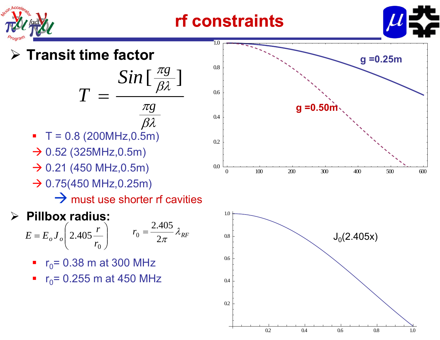

### **rf constraints**



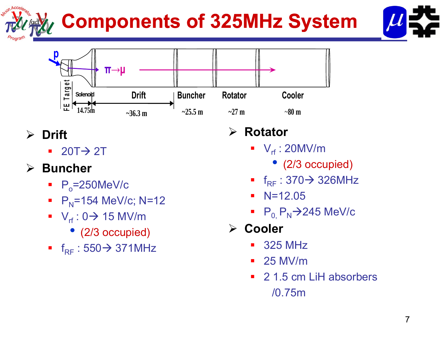# **Components of 325MHz System**





#### **Drift**

 $\blacksquare$  20T $\rightarrow$  2T

#### **Buncher**

- $\blacksquare$  P<sub>o</sub>=250MeV/c
- $\blacksquare$  P<sub>N</sub>=154 MeV/c; N=12
- $V_{rf}$ : 0 $\rightarrow$  15 MV/m
	- (2/3 occupied)
- f<sub>RF</sub>:550<del>></del> 371MHz

#### $\blacktriangleright$  $\triangleright$  Rotator

- $\blacksquare$  V<sub>rf</sub> : 20MV/m
	- • $\bullet$  (2/3 occupied)
- f<sub>RF</sub>:370<del>></del> 326MHz
- N=12.05
- P $_{\rm 0,}$  P $_{\rm N}$  $\rightarrow$  245 MeV/c
- **Cooler**
	- 325 MHz
	- 25 MV/m
	- 2 1.5 cm LiH absorbers /0.75m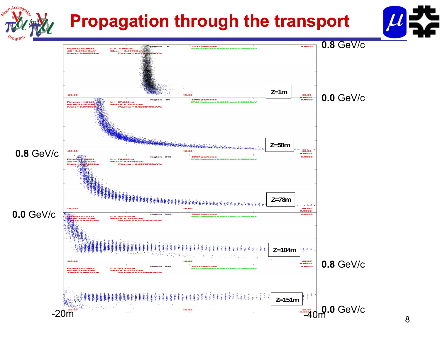## **Propagation through the transport**



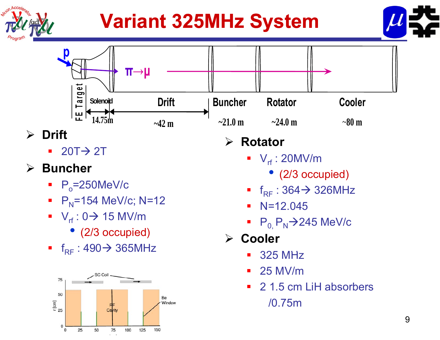

# **Variant 325MHz System**





- $\blacksquare$  20T $\rightarrow$  2T
- $\blacktriangleright$  **Buncher**
	- $\blacksquare$  P<sub>o</sub>=250MeV/c
	- $\blacksquare$  P<sub>N</sub>=154 MeV/c; N=12
	- $V_{rf}$ : 0 $\rightarrow$  15 MV/m
		- (2/3 occupied)
	- f<sub>RF</sub>:490<del>></del> 365MHz RF



#### $\sum_{i=1}^{n}$ **Rotator**

- $\blacksquare$  V<sub>rf</sub> : 20MV/m
	- (2/3 occupied)
- f<sub>RF</sub>:364-<del>)</del>326MHz
- $\blacksquare$  N=12.045
- $P_0$ ,  $P_N$  $\rightarrow$ 245 MeV/c
- **Cooler**
	- 325 MHzΞ
	- $-25$  MV/m
	- 2 1.5 cm LiH absorbers /0.75m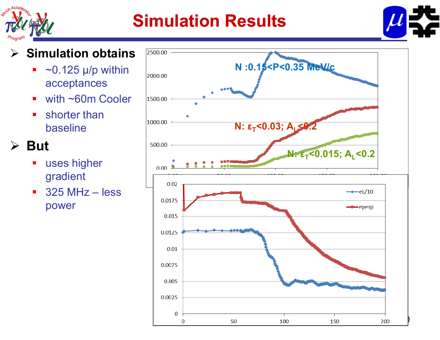

### **Simulation Results**



#### $\blacktriangleright$ **Simulation obtains**

- $\overline{\phantom{a}}$  $\sim$ 0.125 μ/p within acceptances p
- $\blacksquare$ with ~60m Cooler
- $\blacksquare$  shorter than baseline

#### **But**

- $\blacksquare$  uses higher gradient
- $\blacksquare$  325 MHz – less power

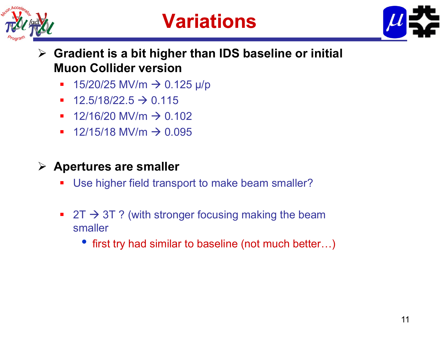

# **Variations**



- **Gradient is a bit higher than IDS baseline or initial Muon Collider version** 
	- ■ 15/20/25 MV/m  $\rightarrow$  0.125 μ/p
	- $\blacksquare$  $-$  12.5/18/22.5  $\rightarrow$  0.115
	- 12/16/20 MV/m  $\rightarrow$  0.102
	- 12/15/18 MV/m  $\rightarrow$  0.095
- **Apertures are smaller smaller**
	- $\blacksquare$ Use higher field transport to make beam smaller?
	- $\blacksquare$  2T  $\rightarrow$  3T ? (with stronger focusing making the beam smaller
		- first try had similar to baseline (not much better...)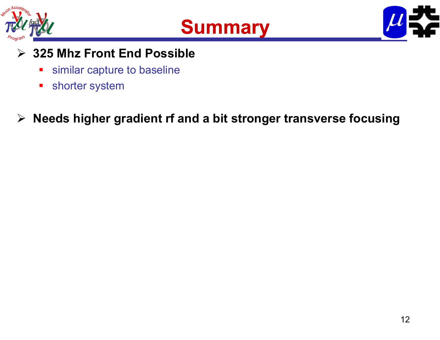





#### **325 Mhz Front End Possible**

- $\overline{\phantom{a}}$ similar capture to baseline
- $\blacksquare$ shorter system
- **Needs higher gradient rf and a bit stronger transverse focusing**